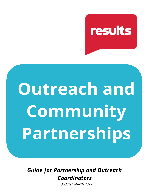## results

# **Outreach and Community Partnerships**

*Guide for Partnership and Outreach Coordinators*

*Updated March 2022*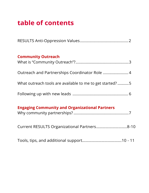## **table of contents**

| <b>Community Outreach</b>                                |  |
|----------------------------------------------------------|--|
|                                                          |  |
|                                                          |  |
| What outreach tools are available to me to get started?5 |  |
|                                                          |  |
|                                                          |  |

## **Engaging Community and Organizational Partners**

| Current RESULTS Organizational Partners8-10 |  |
|---------------------------------------------|--|
|                                             |  |

|--|--|--|--|--|--|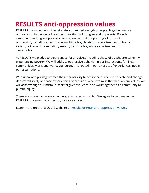## <span id="page-2-0"></span> **RESULTS anti-oppression values**

RESULTS is a movement of passionate, committed everyday people. Together we use our voices to influence political decisions that will bring an end to poverty. Poverty cannot end as long as oppression exists. We commit to opposing all forms of oppression, including ableism, ageism, biphobia, classism, colonialism, homophobia, racism, religious discrimination, sexism, transphobia, white saviorism, and xenophobia.

At RESULTS we pledge to create space for all voices, including those of us who are currently experiencing poverty. We will address oppressive behavior in our interactions, families, communities, work, and world. Our strength is rooted in our diversity of experiences, not in our assumptions.

With unearned privilege comes the responsibility to act so the burden to educate and change doesn't fall solely on those experiencing oppression. When we miss the mark on our values, we will acknowledge our mistake, seek forgiveness, learn, and work together as a community to pursue equity.

There are no saviors — only partners, advocates, and allies. We agree to help make the RESULTS movement a respectful, inclusive space.

Learn more on the RESULTS website at: [results.org/our-anti-oppression-values/](https://results.org/our-anti-oppression-values/)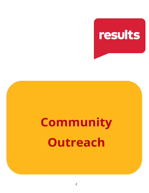

## **Community Outreach**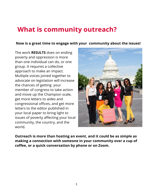## **What is community outreach?**

#### **Now is a great time to engage with your community about the issues!**

The work **RESULTS** does on ending poverty and oppression is more than one individual can do, or one group. It requires a collective approach to make an impact. Multiple voices joined together to advocate on legislation will increase the chances of getting your member of congress to take action and move up the Champion scale, get more letters to aides and congressional offices, and get more letters to the editor published in your local paper to bring light to issues of poverty affecting your local community, the country, and the world.



**Outreach is more than hosting an event, and it could be as simple as making a connection with someone in your community over a cup of coffee, or a quick conversation by phone or on Zoom.**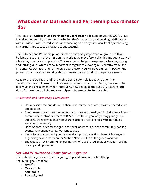## **What does an Outreach and Partnership Coordinator do?**

The role of an **Outreach and Partnership Coordinator** is to support your RESULTS group in making community connections - whether that's connecting and building relationships with individuals with shared values or connecting on an organizational level by embarking on partnerships to take advocacy actions together.

The Outreach and Partnership Coordinator is extremely important for group health and building the strength of the RESULTS network as we move forward in this important work of alleviating poverty and oppression. This role is what helps to keep groups healthy, strong, and thriving, all of which are so important in regards to elevating our collective voice and influence. As Outreach and Partnership Coordinator, you will have a direct impact on the power of our movement to bring about changes that our world so desperately needs.

At its core, the Outreach and Partnership Coordinator role is about relationship development and follow-up. Just like we emphasize follow-up with MOCs, there must be follow-up and engagement when introducing new people to the RESULTS network. **But don't fret, we have all the tools to help you be successful in this role!** 

#### *An Outreach and Partnership Coordinator:*

- Has a passion for, and desire to share and interact with others with a shared value and mission.
- Coordinates one-on-one interactions and outreach meetings with individuals in your community to introduce them to RESULTS, with the goal of growing your group.
- Supports transformational, versus transactional, relationships with individuals engaging in advocacy.
- Finds opportunities for the group to speak and/or train in the community (tabling events, networking events, workshops etc.).
- Keeps track of community contacts and supports the Action Network Manager in organizing new contacts on the "Action Network" tab of the group roadmap.
- Engages with local community partners who have shared goals as values in ending poverty and oppression.

#### *Set SMART Outreach Goals for your group:*

Think about the goals you have for your group, and how outreach will help. Set SMART goals, that are:

- **Specific**
- **Measurable**
- **Attainable**
- **Realistic, and**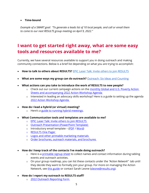#### • **Time-bound**

*Example of a SMART goal: "To generate a leads list of 10 local people, and call or email them to come to our next RESULTS group meeting on April 9, 2022."*

## <span id="page-6-0"></span>**I want to get started right away, what are some easy tools and resources available to me?**

Currently, we have several resources available to support you in doing outreach and making community connections. Below is a brief list depending on what you are trying to accomplish:

- **How to talk to others about RESULTS?** [EPIC Laser Talk: Invite others to join RESULTS](https://resultsorg.sharepoint.com/:w:/s/GrassrootsImpact/Ecac2mMVC89As00xK40IalIBnEI9cotnSuuSEBETViGE4w?e=ATn2rE)
- **What are some ways my group can do outreach?** [Outreach: Six Ideas and Counting](https://docs.google.com/document/d/1zR93cX4BNLsfsGJq1RL99ZszksA9mv0K/edit?usp=sharing&ouid=115460635308728131729&rtpof=true&sd=true)
- **What actions can you take to introduce the work of RESULTS to new people?**
	- o Check out our current campaign actions on the monthly Global and U.S. Poverty Action [Sheets](https://results.org/volunteers/monthly-actions/) and accompanying [2022 Action Workshop Agenda](https://results.org/wp-content/uploads/2022-Action-Workshop-Agenda.pdf)
	- o Interested in leading an advocacy skills workshop? Here is a guide to setting up the agenda [2022 Action Workshop Agenda](https://results.org/wp-content/uploads/2022-Action-Workshop-Agenda.pdf)
- **How do I lead a hybrid (or virtual) meeting?**
	- o Here's a [guide to running hybrid meetings.](https://results.org/resources/running-hybrid-meetings/)
- **What Communication tools and templates are available to me?**
	- o [EPIC Laser Talk: Invite others to join RESULTS](https://results.org/wp-content/uploads/2022-Outreach-Laser-Talk.pdf)
	- o [Outreach Presentation \(PowerPoint Template\)](https://results.org/wp-content/uploads/template_PowerPoint-Presentation-Template-2022.pptx)
	- o Introductory email template [\(PDF](https://results.org/wp-content/uploads/Outreach_Email-Template.pdf) / [Word\)](https://results.org/wp-content/uploads/Outreach_Email-Template-1.docx)
	- o [RESULTS One Pager](https://results.org/wp-content/uploads/voices_onepager_2021.pdf)
	- o [Logos and other printable marketing materials](https://results.org/volunteers/marketing-materials/)
	- o [Order brochures, outreach materials, and brochures](https://docs.google.com/forms/d/e/1FAIpQLScjFPR5cE8Z3cY9nCc_SMHE09puahIzV_Z9gg51CD0sjuxv6Q/viewform)
- **How do I keep track of the contacts I've made doing outreach?** 
	- o Here is a [printable signup](https://results.org/wp-content/uploads/RESULTS-Sign-Up-Sheet-1.pdf) sheet to collect names and contact information during tabling events and outreach activities.
	- o On your group roadmap, you can list these contacts under the *"Action Network"* tab until they decide they want to formally join your group. For more on managing the Action Network, see [this guide](https://results.org/wp-content/uploads/Updated-Action-Network-Manager-Info-Pager.pdf) or contact Sarah Leone [\(sleone@results.org\)](mailto:sleone@results.org).
- **How do I report my outreach to RESULTS staff?**
	- o [2022 Outreach Reporting Form](https://docs.google.com/forms/d/e/1FAIpQLSftlcLdbTzux5BpGtU9b1PyAK70sSXG0TQESQVziG6q953OVA/viewform?c=0&w=1)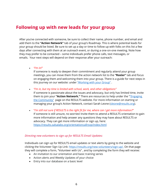### **Following up with new leads for your group**

After you've connected with someone, be sure to collect their name, phone number, and email and add them to the **"Action Network"** tab of your group's Roadmap. This is where potential leads for your group should be listed. Be sure to set up a day or time to follow up with folks on this list a few days after connecting with them at an outreach event, or during a one-on-one meeting. Note how they may prefer to be contacted – some individuals prefer phone calls, text messages, or emails. Your next steps will depend on their response after your outreach:

• *"I'm in!"*

If someone is ready to deepen their commitment and regularly attend your group meetings, you can move them from the action network list to the **"Roster"** tab and focus on engaging them and welcoming them into your group. There is a guide for next steps in this journey on our website: under ["Working with your Group"](https://results.org/volunteers/working-with-your-group/).

• *"I'm in, but my time is limited with school, work, and other obligations"*

If someone is passionate about the issues and advocacy, but only has limited time, invite them to join your **"Action Network."** There are resources to help under the [""Engaging](https://results.org/volunteers/engaging-the-community/)  [the Community"](https://results.org/volunteers/engaging-the-community/) page on the RESULTS website. For more information on starting or managing your group's Action Network, contact Sarah Leone ([sleone@results.org\)](mailto:sleone@results.org).

• "*I'm still not sure if RESULTS is the right fit for me, where can I get more information?"* If someone is still unsure, no worries! Invite them to attend a RESULTS orientation to gain more information and help answer any questions they may have about RESULTS or advocacy. They can get more information or sign up, here: <https://results.salsalabs.org/orientationcallrsvp/index.html>

#### *Directing new volunteers to sign up for RESULTS Email Updates:*

Individuals can sign up for RESULTS email updates or text alerts by going to the website and clicking the Volunteer Sign Up Link: [https://results.org/new-volunteers/sign-up/.](https://results.org/new-volunteers/sign-up/) On that page they will complete a form, "Volunteer with Us" , and by completing the form they will receive:

- An invitation to our orientation and basic training series
- Action alerts and Weekly Updates of your choice
- Entry into our database on a basic level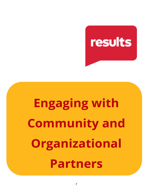

## **Engaging with Community and Organizational Partners**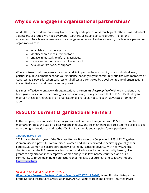## **Why do we engage in organizational partnerships?**

At RESULTS, the work we are doing to end poverty and oppression is much greater than us as individual volunteers, or groups. We need everyone - partners, allies, and co-conspirators - to join the movement. To achieve large-scale social change requires a collective approach; this is where partnering organizations can:

- o establish a common agenda,
- o identify shared measurement tools,
- o engage in mutually reinforcing activities,
- o maintain continuous communication, and
- o develop a framework of support

Where outreach helps to grow your group and its impact in the community on an individual level, partnership development expands your influence not only in your community but also with members of Congress. It is powerful when congressional offices are contacted by a coalition group of organizations in a unified voice to end poverty and oppression.

It is most effective to engage with organizational partners *at the group level* with organizations that have grassroots volunteers whose goals and issues may be aligned with that of RESULTS. It is key to maintain these partnerships at an organizational level so as not to "poach" advocates from other groups.

### **RESULTS' Current Organizational Partners**

In the last year, new and established organizational partners have joined with RESULTS to combat malnutrition, close the gap on global vaccine inequity, and strengthen healthcare systems abroad to get us in the right direction of ending the COVID-19 pandemic and stopping future pandemics.

#### *Together Women Rise*

2022 marks the third year of the *Together Women Rise Advocacy Chapter* with RESULTS. Together Women Rise is a powerful community of women and allies dedicated to achieving global gender equality, as women are disproportionately affected by issues of poverty. With nearly 500 local chapters across the U.S., members learn about and advocate for gender equality issues,, give grants to organizations that empower women and girls in low-income countries, and build community to forge meaningful connections that increase our strength and collective impact. [Learn more here.](https://usc-word-edit.officeapps.live.com/we/(https:/togetherwomenrise.org/advocacy/results-parntership/))

#### *National Peace Corps Association (NPCA)*

*[Global Allies Program: Partners Ending Poverty with RESULTS \(GAP\)](https://www.peacecorpsconnect.org/companies/global-allies-program-partners-ending-poverty-with-results)* is an official affiliate partner of the National Peace Corps Association (NPCA). GAP aims to train and engage Returned Peace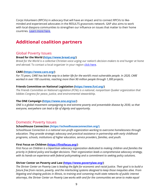Corps Volunteers (RPCVs) in advocacy that will have an impact and to connect RPCVs to likeminded and experienced advocates in the RESULTS grassroots network. GAP also aims to work with local diaspora communities to strengthen our influence on issues that matter to their home countries. [Learn more here.](https://www.peacecorpsconnect.org/companies/global-allies-program-partners-ending-poverty-with-results)

## **Additional coalition partners**

#### Global Poverty Issues

#### **Bread for the World [\(https://www.bread.org/\)](https://www.bread.org/)**

*Bread for the World is a collective Christian voice urging our nation's decision-makers to end hunger at home* and abroad. To contact a local organizer in your region [click here.](https://www.bread.org/regional-organizers)

#### **CARE [\(https://www.care.org/\)](https://www.care.org/)**

*For 75 years, CARE has led the way to a better life for the world's most vulnerable people. In 2020, CARE worked in over 100 countries, reaching more than 90 million people through 1,300 projects.*

#### **Friends Committee on National Legislation [\(https://www.fcnl.org/\)](https://www.fcnl.org/)**

*The Friends Committee on National Legislation (FCNL) is a national, nonpartisan Quaker organization that lobbies Congress for peace, justice, and environmental stewardship.*

#### **The ONE Campaign [\(https://www.one.org/us/\)](https://www.one.org/us/)**

*ONE is a global movement campaigning to end extreme poverty and preventable disease by 2030, so that everyone, everywhere can lead a life of dignity and opportunity.*

#### Domestic Poverty Issues

#### **SchoolHouse Connection [\(https://schoolhouseconnection.org/\)](https://schoolhouseconnection.org/)**

*SchoolHouse Connection is a national non-profit organization working to overcome homelessness through education. They provide strategic advocacy and practical assistance in partnership with early childhood programs, schools, institutions of higher education, service providers, families, and youth.*

#### **First Focus on Children [\(https://firstfocus.org/\)](https://firstfocus.org/)**

*First Focus on Children is a bipartisan advocacy organization dedicated to making children and families the priority in federal policy and budget decisions. Their organization leads a comprehensive advocacy strategy, with its hands-on experience with federal policymaking and a commitment to seeking policy solutions.*

#### **Shriver Center on Poverty and Law [\(https://www.povertylaw.org/\)](https://www.povertylaw.org/)**

*The Shriver Center on Poverty Law is leading the fight for economic and racial justice. Their goal is to build a future free from racism, poverty, and the interlocking systems designed to keep those inequities alive. From litigating and shaping policies in Illinois, to training and convening multi-state networks of public interest attorneys, the Shriver Center on Poverty Law works with and for the communities we serve to make equal*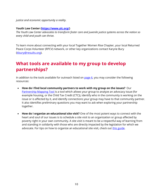*justice and economic opportunity a reality.*

#### **Youth Law Center [\(https://www.ylc.org/\)](https://www.ylc.org/)**

*The Youth Law Center advocates to transform foster care and juvenile justice systems across the nation so every child and youth can thrive.*

To learn more about connecting with your local Together Women Rise Chapter, your local Returned Peace Corps Volunteer (RPCV) network, or other key organizations contact Karyne Bury [\(kbury@results.org\)](mailto:kbury@results.org).

## **What tools are available to my group to develop partnerships?**

In addition to the tools available for outreach listed on [page 6,](#page-6-0) you may consider the following resources:

- **How do I find local community partners to work with my group on the issues?** Our [Partnership Mapping Tool](https://results.org/wp-content/uploads/Partnership-Mapping-Tool-IC-2021.pdf) is a tool which allows your group to analyze an advocacy issue (for example housing, or the Child Tax Credit (CTC)), identify who in the community is working on the issue or is affected by it, and identify connections your group may have to that community partner. It also identifies preliminary questions you may want to ask when exploring your partnership together.
- **How do I organize an educational site visit?** One of the most potent ways to connect with the heart and soul of our issues is to schedule a site visit to an organization or group affected by poverty right in your own community. A site visit is meant to be a respectful way of learning from and standing in solidarity with those who are directly impacted by the legislation for which we advocate. For tips on how to organize an educational site visit, check out [this guide.](https://results.org/resources/organize-an-educational-site-visit/)